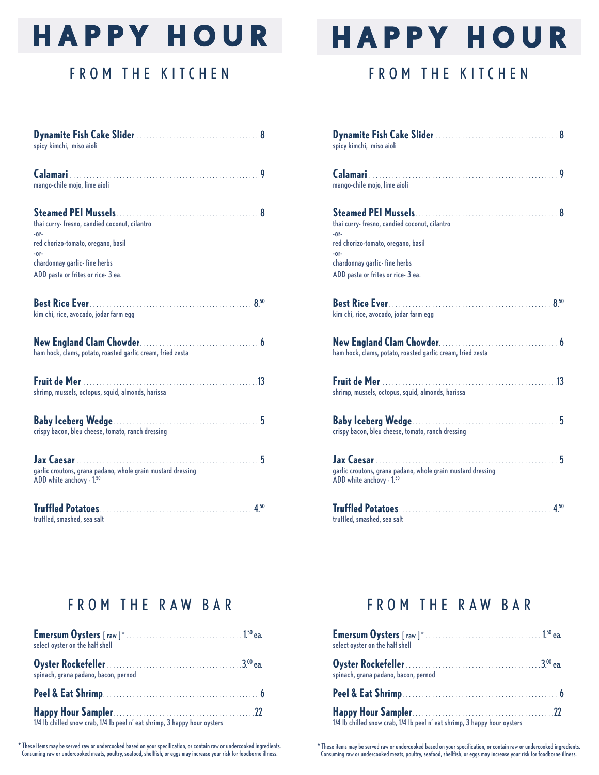## **HAPPY HOUR**

## FROM THE KITCHEN

| spicy kimchi, miso aioli                                                                                                                                                     |
|------------------------------------------------------------------------------------------------------------------------------------------------------------------------------|
| 9<br>mango-chile mojo, lime aioli                                                                                                                                            |
| thai curry-fresno, candied coconut, cilantro<br>$-0r-$<br>red chorizo-tomato, oregano, basil<br>$-0r-$<br>chardonnay garlic-fine herbs<br>ADD pasta or frites or rice- 3 ea. |
| kim chi, rice, avocado, jodar farm egg                                                                                                                                       |
| ham hock, clams, potato, roasted garlic cream, fried zesta                                                                                                                   |
| shrimp, mussels, octopus, squid, almonds, harissa                                                                                                                            |
| crispy bacon, bleu cheese, tomato, ranch dressing                                                                                                                            |
| garlic croutons, grana padano, whole grain mustard dressing<br>ADD white anchovy - 1.50                                                                                      |
| truffled, smashed, sea salt                                                                                                                                                  |

# **HAPPY HOUR**

## FROM THE KITCHEN

| spicy kimchi, miso aioli                                                                                                                                                     |
|------------------------------------------------------------------------------------------------------------------------------------------------------------------------------|
| 9<br>mango-chile mojo, lime aioli                                                                                                                                            |
| thai curry-fresno, candied coconut, cilantro<br>$-0r-$<br>red chorizo-tomato, oregano, basil<br>$-0r-$<br>chardonnay garlic-fine herbs<br>ADD pasta or frites or rice- 3 ea. |
| kim chi, rice, avocado, jodar farm egg                                                                                                                                       |
| ham hock, clams, potato, roasted garlic cream, fried zesta                                                                                                                   |
| shrimp, mussels, octopus, squid, almonds, harissa                                                                                                                            |
| crispy bacon, bleu cheese, tomato, ranch dressing                                                                                                                            |
| garlic croutons, grana padano, whole grain mustard dressing<br>ADD white anchovy - 1.50                                                                                      |
| 4.50<br>truffled, smashed, sea salt                                                                                                                                          |

### FROM THE RAW BAR

| select oyster on the half shell                                           |  |
|---------------------------------------------------------------------------|--|
| spinach, grana padano, bacon, pernod                                      |  |
|                                                                           |  |
| 1/4 lb chilled snow crab, 1/4 lb peel n' eat shrimp, 3 happy hour oysters |  |

\* These items may be served raw or undercooked based on your specification, or contain raw or undercooked ingredients. Consuming raw or undercooked meats, poultry, seafood, shellfish, or eggs may increase your risk for foodborne illness.

#### FROM THE RAW BAR

| select oyster on the half shell                                           |  |
|---------------------------------------------------------------------------|--|
| spinach, grana padano, bacon, pernod                                      |  |
|                                                                           |  |
| 1/4 lb chilled snow crab, 1/4 lb peel n' eat shrimp, 3 happy hour oysters |  |

\* These items may be served raw or undercooked based on your specification, or contain raw or undercooked ingredients. Consuming raw or undercooked meats, poultry, seafood, shellfish, or eggs may increase your risk for foodborne illness.